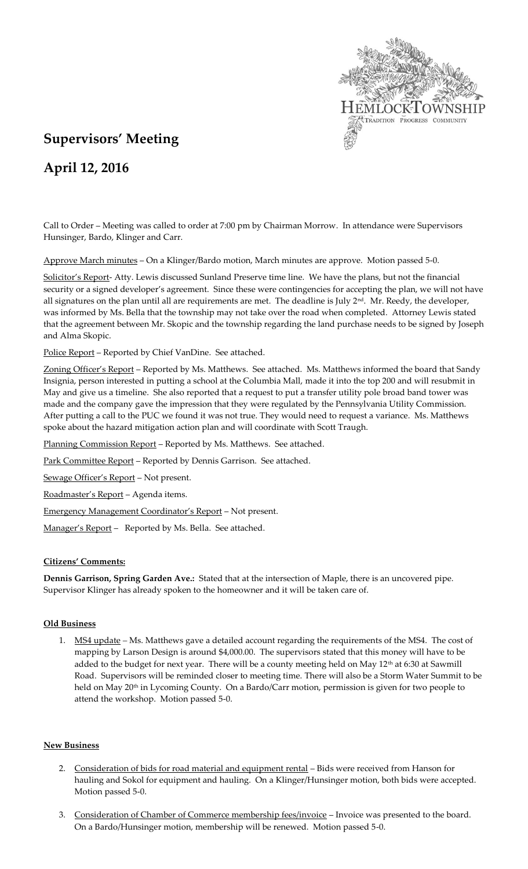

# **Supervisors' Meeting**

## **April 12, 2016**

Call to Order – Meeting was called to order at 7:00 pm by Chairman Morrow. In attendance were Supervisors Hunsinger, Bardo, Klinger and Carr.

Approve March minutes – On a Klinger/Bardo motion, March minutes are approve. Motion passed 5-0.

Solicitor's Report- Atty. Lewis discussed Sunland Preserve time line. We have the plans, but not the financial security or a signed developer's agreement. Since these were contingencies for accepting the plan, we will not have all signatures on the plan until all are requirements are met. The deadline is July 2<sup>nd</sup>. Mr. Reedy, the developer, was informed by Ms. Bella that the township may not take over the road when completed. Attorney Lewis stated that the agreement between Mr. Skopic and the township regarding the land purchase needs to be signed by Joseph and Alma Skopic.

Police Report - Reported by Chief VanDine. See attached.

Zoning Officer's Report - Reported by Ms. Matthews. See attached. Ms. Matthews informed the board that Sandy Insignia, person interested in putting a school at the Columbia Mall, made it into the top 200 and will resubmit in May and give us a timeline. She also reported that a request to put a transfer utility pole broad band tower was made and the company gave the impression that they were regulated by the Pennsylvania Utility Commission. After putting a call to the PUC we found it was not true. They would need to request a variance. Ms. Matthews spoke about the hazard mitigation action plan and will coordinate with Scott Traugh.

Planning Commission Report – Reported by Ms. Matthews. See attached.

Park Committee Report – Reported by Dennis Garrison. See attached.

Sewage Officer's Report – Not present.

Roadmaster's Report – Agenda items.

Emergency Management Coordinator's Report – Not present.

Manager's Report - Reported by Ms. Bella. See attached.

#### **Citizens' Comments:**

**Dennis Garrison, Spring Garden Ave.:** Stated that at the intersection of Maple, there is an uncovered pipe. Supervisor Klinger has already spoken to the homeowner and it will be taken care of.

#### **Old Business**

1. MS4 update *–* Ms. Matthews gave a detailed account regarding the requirements of the MS4. The cost of mapping by Larson Design is around \$4,000.00. The supervisors stated that this money will have to be added to the budget for next year. There will be a county meeting held on May  $12<sup>th</sup>$  at 6:30 at Sawmill Road. Supervisors will be reminded closer to meeting time. There will also be a Storm Water Summit to be held on May 20<sup>th</sup> in Lycoming County. On a Bardo/Carr motion, permission is given for two people to attend the workshop. Motion passed 5-0.

## **New Business**

- 2. Consideration of bids for road material and equipment rental Bids were received from Hanson for hauling and Sokol for equipment and hauling. On a Klinger/Hunsinger motion, both bids were accepted. Motion passed 5-0.
- 3. Consideration of Chamber of Commerce membership fees/invoice Invoice was presented to the board. On a Bardo/Hunsinger motion, membership will be renewed. Motion passed 5-0.